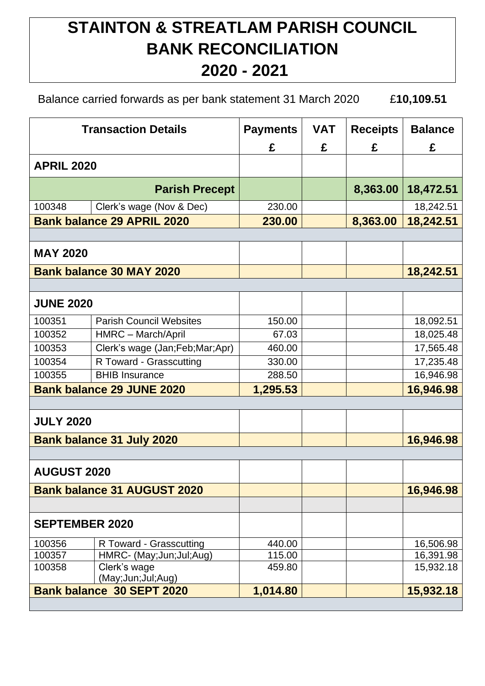## **STAINTON & STREATLAM PARISH COUNCIL BANK RECONCILIATION 2020 - 2021**

Balance carried forwards as per bank statement 31 March 2020 £**10,109.51**

| <b>Transaction Details</b>         |                                                | <b>Payments</b> | <b>VAT</b> | <b>Receipts</b> | <b>Balance</b> |
|------------------------------------|------------------------------------------------|-----------------|------------|-----------------|----------------|
|                                    |                                                | £               | £          | £               | £              |
| <b>APRIL 2020</b>                  |                                                |                 |            |                 |                |
| <b>Parish Precept</b>              |                                                |                 |            | 8,363.00        | 18,472.51      |
| 100348                             | Clerk's wage (Nov & Dec)                       | 230.00          |            |                 | 18,242.51      |
| <b>Bank balance 29 APRIL 2020</b>  |                                                | 230.00          |            | 8,363.00        | 18,242.51      |
|                                    |                                                |                 |            |                 |                |
| <b>MAY 2020</b>                    |                                                |                 |            |                 |                |
| <b>Bank balance 30 MAY 2020</b>    |                                                |                 |            |                 | 18,242.51      |
|                                    |                                                |                 |            |                 |                |
| <b>JUNE 2020</b>                   |                                                |                 |            |                 |                |
| 100351                             | <b>Parish Council Websites</b>                 | 150.00          |            |                 | 18,092.51      |
| 100352                             | HMRC - March/April                             | 67.03           |            |                 | 18,025.48      |
| 100353                             | Clerk's wage (Jan;Feb;Mar;Apr)                 | 460.00          |            |                 | 17,565.48      |
| 100354                             | R Toward - Grasscutting                        | 330.00          |            |                 | 17,235.48      |
| 100355                             | <b>BHIB Insurance</b>                          | 288.50          |            |                 | 16,946.98      |
| <b>Bank balance 29 JUNE 2020</b>   |                                                | 1,295.53        |            |                 | 16,946.98      |
|                                    |                                                |                 |            |                 |                |
| <b>JULY 2020</b>                   |                                                |                 |            |                 |                |
| <b>Bank balance 31 July 2020</b>   |                                                |                 |            |                 | 16,946.98      |
|                                    |                                                |                 |            |                 |                |
| <b>AUGUST 2020</b>                 |                                                |                 |            |                 |                |
| <b>Bank balance 31 AUGUST 2020</b> |                                                |                 |            |                 | 16,946.98      |
|                                    |                                                |                 |            |                 |                |
| <b>SEPTEMBER 2020</b>              |                                                |                 |            |                 |                |
| 100356                             | R Toward - Grasscutting                        | 440.00          |            |                 | 16,506.98      |
| 100357                             | HMRC- (May; Jun; Jul; Aug)                     | 115.00          |            |                 | 16,391.98      |
| 100358                             | Clerk's wage                                   | 459.80          |            |                 | 15,932.18      |
|                                    | (May;Jun;Jul;Aug)<br>Bank balance 30 SEPT 2020 | 1,014.80        |            |                 | 15,932.18      |
|                                    |                                                |                 |            |                 |                |